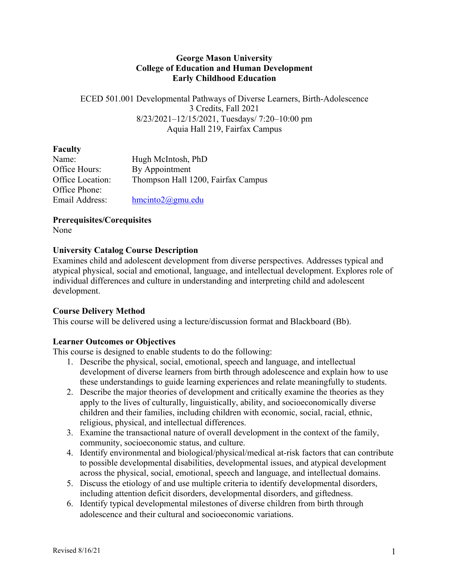#### **George Mason University College of Education and Human Development Early Childhood Education**

ECED 501.001 Developmental Pathways of Diverse Learners, Birth-Adolescence 3 Credits, Fall 2021 8/23/2021–12/15/2021, Tuesdays/ 7:20–10:00 pm Aquia Hall 219, Fairfax Campus

## **Faculty**

| Name:            | Hugh McIntosh, PhD                 |
|------------------|------------------------------------|
| Office Hours:    | By Appointment                     |
| Office Location: | Thompson Hall 1200, Fairfax Campus |
| Office Phone:    |                                    |
| Email Address:   | $h$ mcinto $2@g$ mu.edu            |
|                  |                                    |

## **Prerequisites/Corequisites**

None

# **University Catalog Course Description**

Examines child and adolescent development from diverse perspectives. Addresses typical and atypical physical, social and emotional, language, and intellectual development. Explores role of individual differences and culture in understanding and interpreting child and adolescent development.

# **Course Delivery Method**

This course will be delivered using a lecture/discussion format and Blackboard (Bb).

# **Learner Outcomes or Objectives**

This course is designed to enable students to do the following:

- 1. Describe the physical, social, emotional, speech and language, and intellectual development of diverse learners from birth through adolescence and explain how to use these understandings to guide learning experiences and relate meaningfully to students.
- 2. Describe the major theories of development and critically examine the theories as they apply to the lives of culturally, linguistically, ability, and socioeconomically diverse children and their families, including children with economic, social, racial, ethnic, religious, physical, and intellectual differences.
- 3. Examine the transactional nature of overall development in the context of the family, community, socioeconomic status, and culture.
- 4. Identify environmental and biological/physical/medical at-risk factors that can contribute to possible developmental disabilities, developmental issues, and atypical development across the physical, social, emotional, speech and language, and intellectual domains.
- 5. Discuss the etiology of and use multiple criteria to identify developmental disorders, including attention deficit disorders, developmental disorders, and giftedness.
- 6. Identify typical developmental milestones of diverse children from birth through adolescence and their cultural and socioeconomic variations.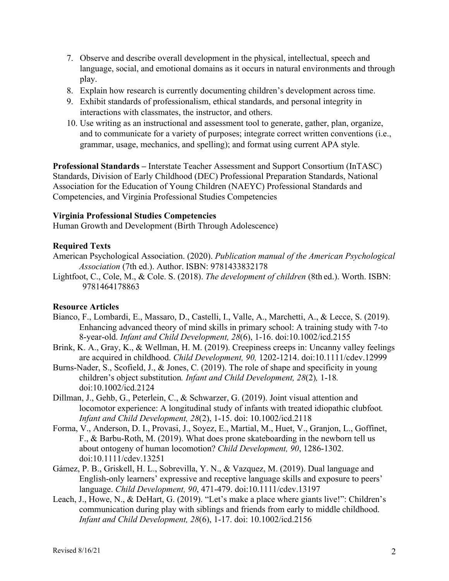- 7. Observe and describe overall development in the physical, intellectual, speech and language, social, and emotional domains as it occurs in natural environments and through play.
- 8. Explain how research is currently documenting children's development across time.
- 9. Exhibit standards of professionalism, ethical standards, and personal integrity in interactions with classmates, the instructor, and others.
- 10. Use writing as an instructional and assessment tool to generate, gather, plan, organize, and to communicate for a variety of purposes; integrate correct written conventions (i.e., grammar, usage, mechanics, and spelling); and format using current APA style.

**Professional Standards –** Interstate Teacher Assessment and Support Consortium (InTASC) Standards, Division of Early Childhood (DEC) Professional Preparation Standards, National Association for the Education of Young Children (NAEYC) Professional Standards and Competencies, and Virginia Professional Studies Competencies

#### **Virginia Professional Studies Competencies**

Human Growth and Development (Birth Through Adolescence)

#### **Required Texts**

- American Psychological Association. (2020). *Publication manual of the American Psychological Association* (7th ed.). Author. ISBN: 9781433832178
- Lightfoot, C., Cole, M., & Cole. S. (2018). *The development of children* (8th ed.). Worth. ISBN: 9781464178863

## **Resource Articles**

- Bianco, F., Lombardi, E., Massaro, D., Castelli, I., Valle, A., Marchetti, A., & Lecce, S. (2019). Enhancing advanced theory of mind skills in primary school: A training study with 7-to 8-year-old. *Infant and Child Development, 28*(6), 1-16. doi:10.1002/icd.2155
- Brink, K. A., Gray, K., & Wellman, H. M. (2019). Creepiness creeps in: Uncanny valley feelings are acquired in childhood. *Child Development, 90,* 1202-1214. doi:10.1111/cdev.12999
- Burns-Nader, S., Scofield, J., & Jones, C. (2019). The role of shape and specificity in young children's object substitution*. Infant and Child Development, 28*(2)*,* 1-18*.*  doi:10.1002/icd.2124
- Dillman, J., Gehb, G., Peterlein, C., & Schwarzer, G. (2019). Joint visual attention and locomotor experience: A longitudinal study of infants with treated idiopathic clubfoot*. Infant and Child Development, 28*(2), 1-15. doi: 10.1002/icd.2118
- Forma, V., Anderson, D. I., Provasi, J., Soyez, E., Martial, M., Huet, V., Granjon, L., Goffinet, F., & Barbu-Roth, M. (2019). What does prone skateboarding in the newborn tell us about ontogeny of human locomotion? *Child Development, 90*, 1286-1302. doi:10.1111/cdev.13251
- Gámez, P. B., Griskell, H. L., Sobrevilla, Y. N., & Vazquez, M. (2019). Dual language and English-only learners' expressive and receptive language skills and exposure to peers' language. *Child Development, 90*, 471-479. doi:10.1111/cdev.13197
- Leach, J., Howe, N., & DeHart, G. (2019). "Let's make a place where giants live!": Children's communication during play with siblings and friends from early to middle childhood. *Infant and Child Development, 28*(6), 1-17. doi: 10.1002/icd.2156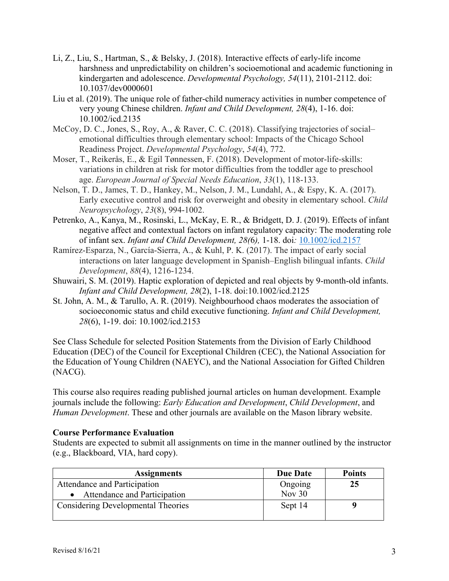- Li, Z., Liu, S., Hartman, S., & Belsky, J. (2018). Interactive effects of early-life income harshness and unpredictability on children's socioemotional and academic functioning in kindergarten and adolescence. *Developmental Psychology, 54*(11), 2101-2112. doi: 10.1037/dev0000601
- Liu et al. (2019). The unique role of father-child numeracy activities in number competence of very young Chinese children. *Infant and Child Development, 28*(4), 1-16. doi: 10.1002/icd.2135
- McCoy, D. C., Jones, S., Roy, A., & Raver, C. C. (2018). Classifying trajectories of social– emotional difficulties through elementary school: Impacts of the Chicago School Readiness Project. *Developmental Psychology*, *54*(4), 772.
- Moser, T., Reikerås, E., & Egil Tønnessen, F. (2018). Development of motor-life-skills: variations in children at risk for motor difficulties from the toddler age to preschool age. *European Journal of Special Needs Education*, *33*(1), 118-133.
- Nelson, T. D., James, T. D., Hankey, M., Nelson, J. M., Lundahl, A., & Espy, K. A. (2017). Early executive control and risk for overweight and obesity in elementary school. *Child Neuropsychology*, *23*(8), 994-1002.
- Petrenko, A., Kanya, M., Rosinski, L., McKay, E. R., & Bridgett, D. J. (2019). Effects of infant negative affect and contextual factors on infant regulatory capacity: The moderating role of infant sex. *Infant and Child Development, 28(*6*),* 1-18. doi*:* 10.1002/icd.2157
- Ramírez‐Esparza, N., García‐Sierra, A., & Kuhl, P. K. (2017). The impact of early social interactions on later language development in Spanish–English bilingual infants. *Child Development*, *88*(4), 1216-1234.
- Shuwairi, S. M. (2019). Haptic exploration of depicted and real objects by 9-month-old infants. *Infant and Child Development, 28*(2), 1-18. doi:10.1002/icd.2125
- St. John, A. M., & Tarullo, A. R. (2019). Neighbourhood chaos moderates the association of socioeconomic status and child executive functioning. *Infant and Child Development, 28*(6), 1-19. doi: 10.1002/icd.2153

See Class Schedule for selected Position Statements from the Division of Early Childhood Education (DEC) of the Council for Exceptional Children (CEC), the National Association for the Education of Young Children (NAEYC), and the National Association for Gifted Children (NACG).

This course also requires reading published journal articles on human development. Example journals include the following: *Early Education and Development*, *Child Development*, and *Human Development*. These and other journals are available on the Mason library website.

## **Course Performance Evaluation**

Students are expected to submit all assignments on time in the manner outlined by the instructor (e.g., Blackboard, VIA, hard copy).

| <b>Assignments</b>                        | <b>Due Date</b> | <b>Points</b> |
|-------------------------------------------|-----------------|---------------|
| Attendance and Participation              | Ongoing         | 25            |
| Attendance and Participation              | Nov $30$        |               |
| <b>Considering Developmental Theories</b> | Sept 14         |               |
|                                           |                 |               |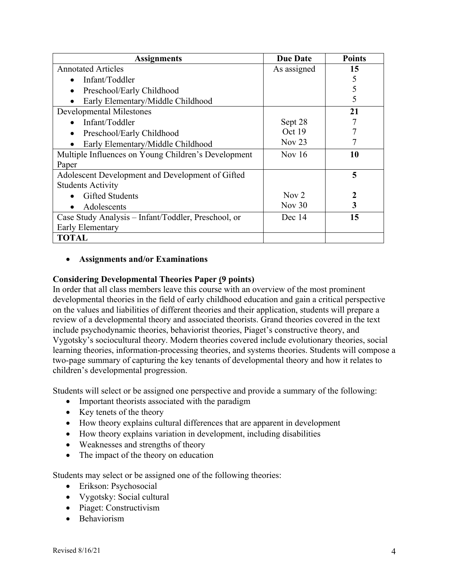| <b>Assignments</b>                                  | <b>Due Date</b>  | <b>Points</b> |
|-----------------------------------------------------|------------------|---------------|
| <b>Annotated Articles</b>                           | As assigned      | 15            |
| Infant/Toddler<br>$\bullet$                         |                  | 5             |
| Preschool/Early Childhood<br>$\bullet$              |                  | 5             |
| Early Elementary/Middle Childhood                   |                  | 5             |
| <b>Developmental Milestones</b>                     |                  | 21            |
| Infant/Toddler                                      | Sept 28          |               |
| Preschool/Early Childhood<br>$\bullet$              | Oct 19           |               |
| Early Elementary/Middle Childhood<br>$\bullet$      | Nov $23$         |               |
| Multiple Influences on Young Children's Development | Nov $16$         | 10            |
| Paper                                               |                  |               |
| Adolescent Development and Development of Gifted    |                  | 5             |
| <b>Students Activity</b>                            |                  |               |
| <b>Gifted Students</b>                              | Nov <sub>2</sub> | 2             |
| Adolescents                                         | Nov $30$         | 3             |
| Case Study Analysis – Infant/Toddler, Preschool, or | Dec 14           | 15            |
| Early Elementary                                    |                  |               |
| <b>TOTAL</b>                                        |                  |               |

#### • **Assignments and/or Examinations**

#### **Considering Developmental Theories Paper (9 points)**

In order that all class members leave this course with an overview of the most prominent developmental theories in the field of early childhood education and gain a critical perspective on the values and liabilities of different theories and their application, students will prepare a review of a developmental theory and associated theorists. Grand theories covered in the text include psychodynamic theories, behaviorist theories, Piaget's constructive theory, and Vygotsky's sociocultural theory. Modern theories covered include evolutionary theories, social learning theories, information-processing theories, and systems theories. Students will compose a two-page summary of capturing the key tenants of developmental theory and how it relates to children's developmental progression.

Students will select or be assigned one perspective and provide a summary of the following:

- Important theorists associated with the paradigm
- Key tenets of the theory
- How theory explains cultural differences that are apparent in development
- How theory explains variation in development, including disabilities
- Weaknesses and strengths of theory
- The impact of the theory on education

Students may select or be assigned one of the following theories:

- Erikson: Psychosocial
- Vygotsky: Social cultural
- Piaget: Constructivism
- Behaviorism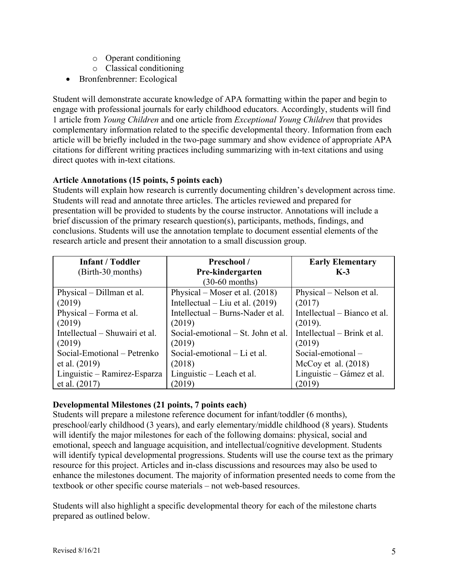- o Operant conditioning
- o Classical conditioning
- Bronfenbrenner: Ecological

Student will demonstrate accurate knowledge of APA formatting within the paper and begin to engage with professional journals for early childhood educators. Accordingly, students will find 1 article from *Young Children* and one article from *Exceptional Young Children* that provides complementary information related to the specific developmental theory. Information from each article will be briefly included in the two-page summary and show evidence of appropriate APA citations for different writing practices including summarizing with in-text citations and using direct quotes with in-text citations.

## **Article Annotations (15 points, 5 points each)**

Students will explain how research is currently documenting children's development across time. Students will read and annotate three articles. The articles reviewed and prepared for presentation will be provided to students by the course instructor. Annotations will include a brief discussion of the primary research question(s), participants, methods, findings, and conclusions. Students will use the annotation template to document essential elements of the research article and present their annotation to a small discussion group.

| <b>Infant / Toddler</b>        | Preschool /                        | <b>Early Elementary</b>      |
|--------------------------------|------------------------------------|------------------------------|
| (Birth-30_months)              | Pre-kindergarten                   | $K-3$                        |
|                                | $(30-60$ months)                   |                              |
| Physical – Dillman et al.      | Physical – Moser et al. $(2018)$   | Physical – Nelson et al.     |
| (2019)                         | Intellectual – Liu et al. $(2019)$ | (2017)                       |
| Physical – Forma et al.        | Intellectual – Burns-Nader et al.  | Intellectual – Bianco et al. |
| (2019)                         | (2019)                             | (2019).                      |
| Intellectual – Shuwairi et al. | Social-emotional – St. John et al. | Intellectual – Brink et al.  |
| (2019)                         | (2019)                             | (2019)                       |
| Social-Emotional – Petrenko    | Social-emotional – Li et al.       | Social-emotional $-$         |
| et al. (2019)                  | (2018)                             | McCoy et al. $(2018)$        |
| Linguistic – Ramirez-Esparza   | Linguistic – Leach et al.          | Linguistic – Gámez et al.    |
| et al. $(2017)$                | (2019)                             | (2019)                       |

## **Developmental Milestones (21 points, 7 points each)**

Students will prepare a milestone reference document for infant/toddler (6 months), preschool/early childhood (3 years), and early elementary/middle childhood (8 years). Students will identify the major milestones for each of the following domains: physical, social and emotional, speech and language acquisition, and intellectual/cognitive development. Students will identify typical developmental progressions. Students will use the course text as the primary resource for this project. Articles and in-class discussions and resources may also be used to enhance the milestones document. The majority of information presented needs to come from the textbook or other specific course materials – not web-based resources.

Students will also highlight a specific developmental theory for each of the milestone charts prepared as outlined below.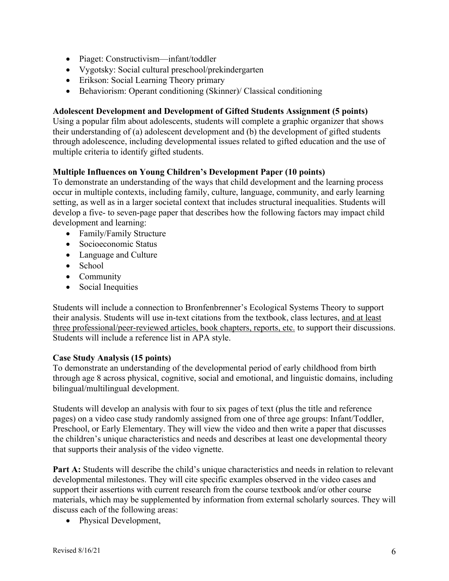- Piaget: Constructivism—infant/toddler
- Vygotsky: Social cultural preschool/prekindergarten
- Erikson: Social Learning Theory primary
- Behaviorism: Operant conditioning (Skinner)/ Classical conditioning

## **Adolescent Development and Development of Gifted Students Assignment (5 points)**

Using a popular film about adolescents, students will complete a graphic organizer that shows their understanding of (a) adolescent development and (b) the development of gifted students through adolescence, including developmental issues related to gifted education and the use of multiple criteria to identify gifted students.

## **Multiple Influences on Young Children's Development Paper (10 points)**

To demonstrate an understanding of the ways that child development and the learning process occur in multiple contexts, including family, culture, language, community, and early learning setting, as well as in a larger societal context that includes structural inequalities. Students will develop a five- to seven-page paper that describes how the following factors may impact child development and learning:

- Family/Family Structure
- Socioeconomic Status
- Language and Culture
- School
- Community
- Social Inequities

Students will include a connection to Bronfenbrenner's Ecological Systems Theory to support their analysis. Students will use in-text citations from the textbook, class lectures, and at least three professional/peer-reviewed articles, book chapters, reports, etc. to support their discussions. Students will include a reference list in APA style.

## **Case Study Analysis (15 points)**

To demonstrate an understanding of the developmental period of early childhood from birth through age 8 across physical, cognitive, social and emotional, and linguistic domains, including bilingual/multilingual development.

Students will develop an analysis with four to six pages of text (plus the title and reference pages) on a video case study randomly assigned from one of three age groups: Infant/Toddler, Preschool, or Early Elementary. They will view the video and then write a paper that discusses the children's unique characteristics and needs and describes at least one developmental theory that supports their analysis of the video vignette.

**Part A:** Students will describe the child's unique characteristics and needs in relation to relevant developmental milestones. They will cite specific examples observed in the video cases and support their assertions with current research from the course textbook and/or other course materials, which may be supplemented by information from external scholarly sources. They will discuss each of the following areas:

• Physical Development,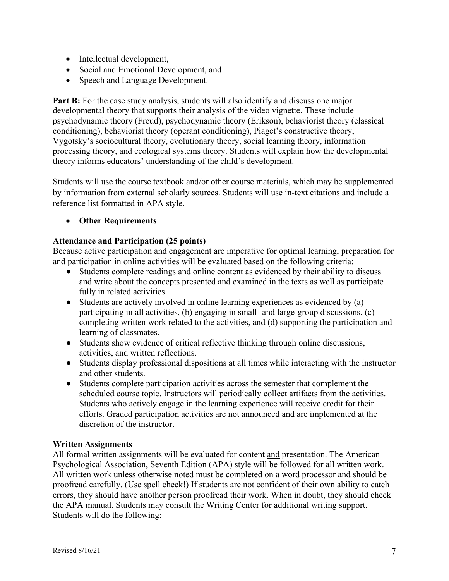- Intellectual development,
- Social and Emotional Development, and
- Speech and Language Development.

Part B: For the case study analysis, students will also identify and discuss one major developmental theory that supports their analysis of the video vignette. These include psychodynamic theory (Freud), psychodynamic theory (Erikson), behaviorist theory (classical conditioning), behaviorist theory (operant conditioning), Piaget's constructive theory, Vygotsky's sociocultural theory, evolutionary theory, social learning theory, information processing theory, and ecological systems theory. Students will explain how the developmental theory informs educators' understanding of the child's development.

Students will use the course textbook and/or other course materials, which may be supplemented by information from external scholarly sources. Students will use in-text citations and include a reference list formatted in APA style.

• **Other Requirements**

#### **Attendance and Participation (25 points)**

Because active participation and engagement are imperative for optimal learning, preparation for and participation in online activities will be evaluated based on the following criteria:

- Students complete readings and online content as evidenced by their ability to discuss and write about the concepts presented and examined in the texts as well as participate fully in related activities.
- Students are actively involved in online learning experiences as evidenced by (a) participating in all activities, (b) engaging in small- and large-group discussions, (c) completing written work related to the activities, and (d) supporting the participation and learning of classmates.
- Students show evidence of critical reflective thinking through online discussions, activities, and written reflections.
- Students display professional dispositions at all times while interacting with the instructor and other students.
- Students complete participation activities across the semester that complement the scheduled course topic. Instructors will periodically collect artifacts from the activities. Students who actively engage in the learning experience will receive credit for their efforts. Graded participation activities are not announced and are implemented at the discretion of the instructor.

#### **Written Assignments**

All formal written assignments will be evaluated for content and presentation. The American Psychological Association, Seventh Edition (APA) style will be followed for all written work. All written work unless otherwise noted must be completed on a word processor and should be proofread carefully. (Use spell check!) If students are not confident of their own ability to catch errors, they should have another person proofread their work. When in doubt, they should check the APA manual. Students may consult the Writing Center for additional writing support. Students will do the following: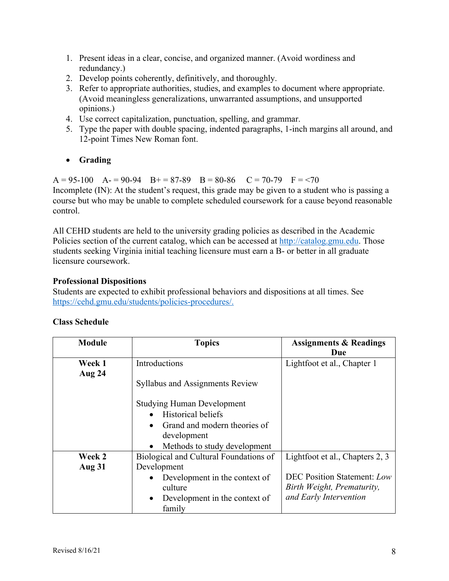- 1. Present ideas in a clear, concise, and organized manner. (Avoid wordiness and redundancy.)
- 2. Develop points coherently, definitively, and thoroughly.
- 3. Refer to appropriate authorities, studies, and examples to document where appropriate. (Avoid meaningless generalizations, unwarranted assumptions, and unsupported opinions.)
- 4. Use correct capitalization, punctuation, spelling, and grammar.
- 5. Type the paper with double spacing, indented paragraphs, 1-inch margins all around, and 12-point Times New Roman font.
- **Grading**

 $A = 95-100$   $A = 90-94$   $B = 87-89$   $B = 80-86$   $C = 70-79$   $F = 70$ Incomplete (IN): At the student's request, this grade may be given to a student who is passing a course but who may be unable to complete scheduled coursework for a cause beyond reasonable control.

All CEHD students are held to the university grading policies as described in the Academic Policies section of the current catalog, which can be accessed at http://catalog.gmu.edu. Those students seeking Virginia initial teaching licensure must earn a B- or better in all graduate licensure coursework.

#### **Professional Dispositions**

Students are expected to exhibit professional behaviors and dispositions at all times. See https://cehd.gmu.edu/students/policies-procedures/.

| <b>Module</b> | <b>Topics</b>                              | <b>Assignments &amp; Readings</b>  |
|---------------|--------------------------------------------|------------------------------------|
|               |                                            | Due                                |
| Week 1        | Introductions                              | Lightfoot et al., Chapter 1        |
| Aug 24        |                                            |                                    |
|               | <b>Syllabus and Assignments Review</b>     |                                    |
|               | <b>Studying Human Development</b>          |                                    |
|               | <b>Historical beliefs</b>                  |                                    |
|               | Grand and modern theories of<br>$\bullet$  |                                    |
|               | development                                |                                    |
|               | Methods to study development<br>$\bullet$  |                                    |
| Week 2        | Biological and Cultural Foundations of     | Lightfoot et al., Chapters 2, 3    |
| <b>Aug 31</b> | Development                                |                                    |
|               | Development in the context of<br>$\bullet$ | <b>DEC Position Statement: Low</b> |
|               | culture                                    | Birth Weight, Prematurity,         |
|               | Development in the context of<br>$\bullet$ | and Early Intervention             |
|               | family                                     |                                    |

## **Class Schedule**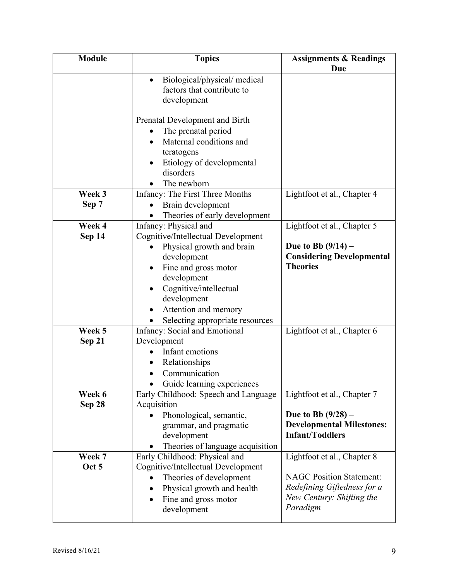| Biological/physical/medical<br>$\bullet$<br>factors that contribute to<br>development<br>Prenatal Development and Birth<br>The prenatal period<br>Maternal conditions and<br>teratogens<br>Etiology of developmental<br>disorders<br>The newborn<br>Week 3<br>Infancy: The First Three Months<br>Lightfoot et al., Chapter 4<br>Sep 7<br>Brain development<br>Theories of early development<br>Week 4<br>Infancy: Physical and<br>Lightfoot et al., Chapter 5<br>Cognitive/Intellectual Development<br>Sep 14<br>Due to Bb $(9/14)$ –<br>Physical growth and brain<br><b>Considering Developmental</b><br>development<br><b>Theories</b><br>Fine and gross motor<br>development<br>Cognitive/intellectual<br>development<br>Attention and memory<br>Selecting appropriate resources<br>Week 5<br>Infancy: Social and Emotional<br>Lightfoot et al., Chapter 6<br>Development<br>Sep 21<br>Infant emotions<br>Relationships<br>Communication<br>Guide learning experiences<br>Lightfoot et al., Chapter 7<br>Week 6<br>Early Childhood: Speech and Language<br>Acquisition<br>Sep 28<br>Due to Bb $(9/28)$ –<br>Phonological, semantic,<br><b>Developmental Milestones:</b><br>grammar, and pragmatic<br><b>Infant/Toddlers</b><br>development<br>Theories of language acquisition<br>Week 7<br>Early Childhood: Physical and<br>Lightfoot et al., Chapter 8 | <b>Module</b> | <b>Topics</b> | <b>Assignments &amp; Readings</b> |
|-------------------------------------------------------------------------------------------------------------------------------------------------------------------------------------------------------------------------------------------------------------------------------------------------------------------------------------------------------------------------------------------------------------------------------------------------------------------------------------------------------------------------------------------------------------------------------------------------------------------------------------------------------------------------------------------------------------------------------------------------------------------------------------------------------------------------------------------------------------------------------------------------------------------------------------------------------------------------------------------------------------------------------------------------------------------------------------------------------------------------------------------------------------------------------------------------------------------------------------------------------------------------------------------------------------------------------------------------------------|---------------|---------------|-----------------------------------|
|                                                                                                                                                                                                                                                                                                                                                                                                                                                                                                                                                                                                                                                                                                                                                                                                                                                                                                                                                                                                                                                                                                                                                                                                                                                                                                                                                             |               |               | Due                               |
|                                                                                                                                                                                                                                                                                                                                                                                                                                                                                                                                                                                                                                                                                                                                                                                                                                                                                                                                                                                                                                                                                                                                                                                                                                                                                                                                                             |               |               |                                   |
|                                                                                                                                                                                                                                                                                                                                                                                                                                                                                                                                                                                                                                                                                                                                                                                                                                                                                                                                                                                                                                                                                                                                                                                                                                                                                                                                                             |               |               |                                   |
|                                                                                                                                                                                                                                                                                                                                                                                                                                                                                                                                                                                                                                                                                                                                                                                                                                                                                                                                                                                                                                                                                                                                                                                                                                                                                                                                                             |               |               |                                   |
|                                                                                                                                                                                                                                                                                                                                                                                                                                                                                                                                                                                                                                                                                                                                                                                                                                                                                                                                                                                                                                                                                                                                                                                                                                                                                                                                                             |               |               |                                   |
|                                                                                                                                                                                                                                                                                                                                                                                                                                                                                                                                                                                                                                                                                                                                                                                                                                                                                                                                                                                                                                                                                                                                                                                                                                                                                                                                                             |               |               |                                   |
|                                                                                                                                                                                                                                                                                                                                                                                                                                                                                                                                                                                                                                                                                                                                                                                                                                                                                                                                                                                                                                                                                                                                                                                                                                                                                                                                                             |               |               |                                   |
|                                                                                                                                                                                                                                                                                                                                                                                                                                                                                                                                                                                                                                                                                                                                                                                                                                                                                                                                                                                                                                                                                                                                                                                                                                                                                                                                                             |               |               |                                   |
|                                                                                                                                                                                                                                                                                                                                                                                                                                                                                                                                                                                                                                                                                                                                                                                                                                                                                                                                                                                                                                                                                                                                                                                                                                                                                                                                                             |               |               |                                   |
|                                                                                                                                                                                                                                                                                                                                                                                                                                                                                                                                                                                                                                                                                                                                                                                                                                                                                                                                                                                                                                                                                                                                                                                                                                                                                                                                                             |               |               |                                   |
|                                                                                                                                                                                                                                                                                                                                                                                                                                                                                                                                                                                                                                                                                                                                                                                                                                                                                                                                                                                                                                                                                                                                                                                                                                                                                                                                                             |               |               |                                   |
|                                                                                                                                                                                                                                                                                                                                                                                                                                                                                                                                                                                                                                                                                                                                                                                                                                                                                                                                                                                                                                                                                                                                                                                                                                                                                                                                                             |               |               |                                   |
|                                                                                                                                                                                                                                                                                                                                                                                                                                                                                                                                                                                                                                                                                                                                                                                                                                                                                                                                                                                                                                                                                                                                                                                                                                                                                                                                                             |               |               |                                   |
|                                                                                                                                                                                                                                                                                                                                                                                                                                                                                                                                                                                                                                                                                                                                                                                                                                                                                                                                                                                                                                                                                                                                                                                                                                                                                                                                                             |               |               |                                   |
|                                                                                                                                                                                                                                                                                                                                                                                                                                                                                                                                                                                                                                                                                                                                                                                                                                                                                                                                                                                                                                                                                                                                                                                                                                                                                                                                                             |               |               |                                   |
|                                                                                                                                                                                                                                                                                                                                                                                                                                                                                                                                                                                                                                                                                                                                                                                                                                                                                                                                                                                                                                                                                                                                                                                                                                                                                                                                                             |               |               |                                   |
|                                                                                                                                                                                                                                                                                                                                                                                                                                                                                                                                                                                                                                                                                                                                                                                                                                                                                                                                                                                                                                                                                                                                                                                                                                                                                                                                                             |               |               |                                   |
|                                                                                                                                                                                                                                                                                                                                                                                                                                                                                                                                                                                                                                                                                                                                                                                                                                                                                                                                                                                                                                                                                                                                                                                                                                                                                                                                                             |               |               |                                   |
|                                                                                                                                                                                                                                                                                                                                                                                                                                                                                                                                                                                                                                                                                                                                                                                                                                                                                                                                                                                                                                                                                                                                                                                                                                                                                                                                                             |               |               |                                   |
|                                                                                                                                                                                                                                                                                                                                                                                                                                                                                                                                                                                                                                                                                                                                                                                                                                                                                                                                                                                                                                                                                                                                                                                                                                                                                                                                                             |               |               |                                   |
|                                                                                                                                                                                                                                                                                                                                                                                                                                                                                                                                                                                                                                                                                                                                                                                                                                                                                                                                                                                                                                                                                                                                                                                                                                                                                                                                                             |               |               |                                   |
|                                                                                                                                                                                                                                                                                                                                                                                                                                                                                                                                                                                                                                                                                                                                                                                                                                                                                                                                                                                                                                                                                                                                                                                                                                                                                                                                                             |               |               |                                   |
|                                                                                                                                                                                                                                                                                                                                                                                                                                                                                                                                                                                                                                                                                                                                                                                                                                                                                                                                                                                                                                                                                                                                                                                                                                                                                                                                                             |               |               |                                   |
|                                                                                                                                                                                                                                                                                                                                                                                                                                                                                                                                                                                                                                                                                                                                                                                                                                                                                                                                                                                                                                                                                                                                                                                                                                                                                                                                                             |               |               |                                   |
|                                                                                                                                                                                                                                                                                                                                                                                                                                                                                                                                                                                                                                                                                                                                                                                                                                                                                                                                                                                                                                                                                                                                                                                                                                                                                                                                                             |               |               |                                   |
|                                                                                                                                                                                                                                                                                                                                                                                                                                                                                                                                                                                                                                                                                                                                                                                                                                                                                                                                                                                                                                                                                                                                                                                                                                                                                                                                                             |               |               |                                   |
|                                                                                                                                                                                                                                                                                                                                                                                                                                                                                                                                                                                                                                                                                                                                                                                                                                                                                                                                                                                                                                                                                                                                                                                                                                                                                                                                                             |               |               |                                   |
|                                                                                                                                                                                                                                                                                                                                                                                                                                                                                                                                                                                                                                                                                                                                                                                                                                                                                                                                                                                                                                                                                                                                                                                                                                                                                                                                                             |               |               |                                   |
|                                                                                                                                                                                                                                                                                                                                                                                                                                                                                                                                                                                                                                                                                                                                                                                                                                                                                                                                                                                                                                                                                                                                                                                                                                                                                                                                                             |               |               |                                   |
|                                                                                                                                                                                                                                                                                                                                                                                                                                                                                                                                                                                                                                                                                                                                                                                                                                                                                                                                                                                                                                                                                                                                                                                                                                                                                                                                                             |               |               |                                   |
|                                                                                                                                                                                                                                                                                                                                                                                                                                                                                                                                                                                                                                                                                                                                                                                                                                                                                                                                                                                                                                                                                                                                                                                                                                                                                                                                                             |               |               |                                   |
|                                                                                                                                                                                                                                                                                                                                                                                                                                                                                                                                                                                                                                                                                                                                                                                                                                                                                                                                                                                                                                                                                                                                                                                                                                                                                                                                                             |               |               |                                   |
|                                                                                                                                                                                                                                                                                                                                                                                                                                                                                                                                                                                                                                                                                                                                                                                                                                                                                                                                                                                                                                                                                                                                                                                                                                                                                                                                                             |               |               |                                   |
|                                                                                                                                                                                                                                                                                                                                                                                                                                                                                                                                                                                                                                                                                                                                                                                                                                                                                                                                                                                                                                                                                                                                                                                                                                                                                                                                                             |               |               |                                   |
|                                                                                                                                                                                                                                                                                                                                                                                                                                                                                                                                                                                                                                                                                                                                                                                                                                                                                                                                                                                                                                                                                                                                                                                                                                                                                                                                                             |               |               |                                   |
|                                                                                                                                                                                                                                                                                                                                                                                                                                                                                                                                                                                                                                                                                                                                                                                                                                                                                                                                                                                                                                                                                                                                                                                                                                                                                                                                                             |               |               |                                   |
| Oct 5<br>Cognitive/Intellectual Development                                                                                                                                                                                                                                                                                                                                                                                                                                                                                                                                                                                                                                                                                                                                                                                                                                                                                                                                                                                                                                                                                                                                                                                                                                                                                                                 |               |               |                                   |
| <b>NAGC Position Statement:</b><br>Theories of development                                                                                                                                                                                                                                                                                                                                                                                                                                                                                                                                                                                                                                                                                                                                                                                                                                                                                                                                                                                                                                                                                                                                                                                                                                                                                                  |               |               |                                   |
| Redefining Giftedness for a<br>Physical growth and health                                                                                                                                                                                                                                                                                                                                                                                                                                                                                                                                                                                                                                                                                                                                                                                                                                                                                                                                                                                                                                                                                                                                                                                                                                                                                                   |               |               |                                   |
| New Century: Shifting the<br>Fine and gross motor<br>$\bullet$                                                                                                                                                                                                                                                                                                                                                                                                                                                                                                                                                                                                                                                                                                                                                                                                                                                                                                                                                                                                                                                                                                                                                                                                                                                                                              |               |               |                                   |
| Paradigm<br>development                                                                                                                                                                                                                                                                                                                                                                                                                                                                                                                                                                                                                                                                                                                                                                                                                                                                                                                                                                                                                                                                                                                                                                                                                                                                                                                                     |               |               |                                   |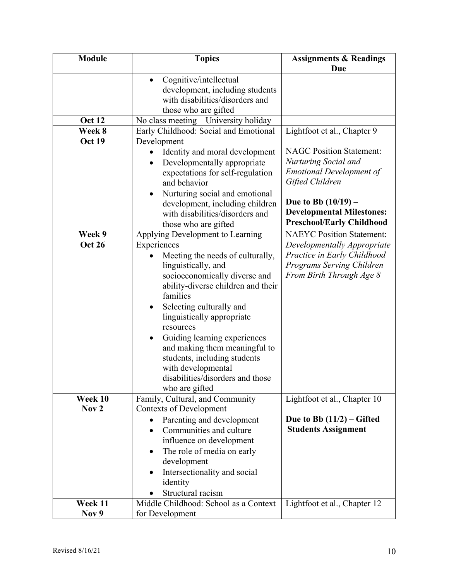| <b>Module</b>           | <b>Topics</b>                                                                                                                                                                                                                                                                                                                                                                                                                   | <b>Assignments &amp; Readings</b>                                                                                                                                     |
|-------------------------|---------------------------------------------------------------------------------------------------------------------------------------------------------------------------------------------------------------------------------------------------------------------------------------------------------------------------------------------------------------------------------------------------------------------------------|-----------------------------------------------------------------------------------------------------------------------------------------------------------------------|
|                         |                                                                                                                                                                                                                                                                                                                                                                                                                                 | <b>Due</b>                                                                                                                                                            |
|                         | Cognitive/intellectual<br>development, including students<br>with disabilities/disorders and<br>those who are gifted                                                                                                                                                                                                                                                                                                            |                                                                                                                                                                       |
| Oct 12                  | No class meeting - University holiday                                                                                                                                                                                                                                                                                                                                                                                           |                                                                                                                                                                       |
| Week 8<br><b>Oct 19</b> | Early Childhood: Social and Emotional<br>Development<br>Identity and moral development<br>Developmentally appropriate<br>expectations for self-regulation<br>and behavior<br>Nurturing social and emotional                                                                                                                                                                                                                     | Lightfoot et al., Chapter 9<br><b>NAGC Position Statement:</b><br>Nurturing Social and<br><b>Emotional Development of</b><br>Gifted Children<br>Due to Bb $(10/19)$ – |
|                         | development, including children<br>with disabilities/disorders and<br>those who are gifted                                                                                                                                                                                                                                                                                                                                      | <b>Developmental Milestones:</b><br><b>Preschool/Early Childhood</b>                                                                                                  |
| Week 9                  | Applying Development to Learning                                                                                                                                                                                                                                                                                                                                                                                                | <b>NAEYC Position Statement:</b>                                                                                                                                      |
| <b>Oct 26</b>           | Experiences<br>Meeting the needs of culturally,<br>linguistically, and<br>socioeconomically diverse and<br>ability-diverse children and their<br>families<br>Selecting culturally and<br>٠<br>linguistically appropriate<br>resources<br>Guiding learning experiences<br>$\bullet$<br>and making them meaningful to<br>students, including students<br>with developmental<br>disabilities/disorders and those<br>who are gifted | Developmentally Appropriate<br>Practice in Early Childhood<br>Programs Serving Children<br>From Birth Through Age 8                                                   |
| Week 10                 | Family, Cultural, and Community                                                                                                                                                                                                                                                                                                                                                                                                 | Lightfoot et al., Chapter 10                                                                                                                                          |
| Nov <sub>2</sub>        | <b>Contexts of Development</b><br>Parenting and development<br>$\bullet$<br>Communities and culture<br>influence on development<br>The role of media on early<br>٠<br>development<br>Intersectionality and social<br>identity<br>Structural racism                                                                                                                                                                              | Due to Bb $(11/2)$ – Gifted<br><b>Students Assignment</b>                                                                                                             |
| Week 11                 | Middle Childhood: School as a Context                                                                                                                                                                                                                                                                                                                                                                                           | Lightfoot et al., Chapter 12                                                                                                                                          |
| Nov 9                   | for Development                                                                                                                                                                                                                                                                                                                                                                                                                 |                                                                                                                                                                       |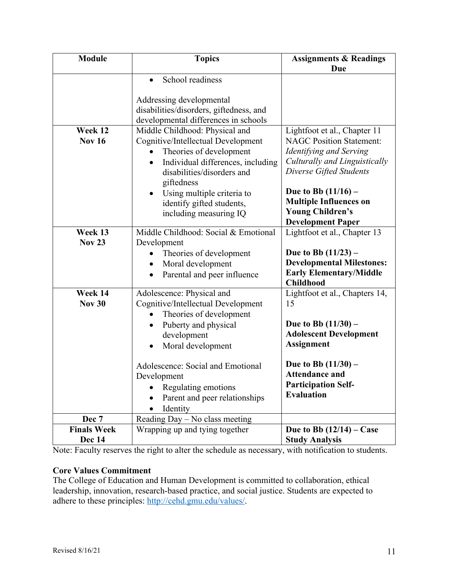| <b>Module</b>      | <b>Topics</b>                                  | <b>Assignments &amp; Readings</b>                      |
|--------------------|------------------------------------------------|--------------------------------------------------------|
|                    |                                                | Due                                                    |
|                    | School readiness<br>$\bullet$                  |                                                        |
|                    |                                                |                                                        |
|                    | Addressing developmental                       |                                                        |
|                    | disabilities/disorders, giftedness, and        |                                                        |
|                    | developmental differences in schools           |                                                        |
| Week 12            | Middle Childhood: Physical and                 | Lightfoot et al., Chapter 11                           |
| <b>Nov 16</b>      | Cognitive/Intellectual Development             | <b>NAGC Position Statement:</b>                        |
|                    | Theories of development                        | Identifying and Serving                                |
|                    | Individual differences, including<br>$\bullet$ | Culturally and Linguistically                          |
|                    | disabilities/disorders and                     | Diverse Gifted Students                                |
|                    | giftedness                                     |                                                        |
|                    | Using multiple criteria to<br>٠                | Due to Bb $(11/16)$ –<br><b>Multiple Influences on</b> |
|                    | identify gifted students,                      | <b>Young Children's</b>                                |
|                    | including measuring IQ                         | <b>Development Paper</b>                               |
| Week 13            | Middle Childhood: Social & Emotional           | Lightfoot et al., Chapter 13                           |
| <b>Nov 23</b>      | Development                                    |                                                        |
|                    | Theories of development                        | Due to Bb $(11/23)$ –                                  |
|                    | Moral development<br>$\bullet$                 | <b>Developmental Milestones:</b>                       |
|                    | Parental and peer influence                    | <b>Early Elementary/Middle</b>                         |
|                    |                                                | <b>Childhood</b>                                       |
| Week 14            | Adolescence: Physical and                      | Lightfoot et al., Chapters 14,                         |
| <b>Nov 30</b>      | Cognitive/Intellectual Development             | 15                                                     |
|                    | Theories of development                        |                                                        |
|                    | Puberty and physical                           | Due to Bb $(11/30)$ –                                  |
|                    | development                                    | <b>Adolescent Development</b>                          |
|                    | Moral development                              | <b>Assignment</b>                                      |
|                    | Adolescence: Social and Emotional              | Due to Bb $(11/30)$ –                                  |
|                    | Development                                    | <b>Attendance and</b>                                  |
|                    | Regulating emotions                            | <b>Participation Self-</b>                             |
|                    | Parent and peer relationships                  | <b>Evaluation</b>                                      |
|                    | Identity                                       |                                                        |
| Dec 7              | Reading Day - No class meeting                 |                                                        |
| <b>Finals Week</b> | Wrapping up and tying together                 | Due to Bb $(12/14)$ – Case                             |
| Dec 14             |                                                | <b>Study Analysis</b>                                  |

Note: Faculty reserves the right to alter the schedule as necessary, with notification to students.

## **Core Values Commitment**

The College of Education and Human Development is committed to collaboration, ethical leadership, innovation, research-based practice, and social justice. Students are expected to adhere to these principles: http://cehd.gmu.edu/values/.